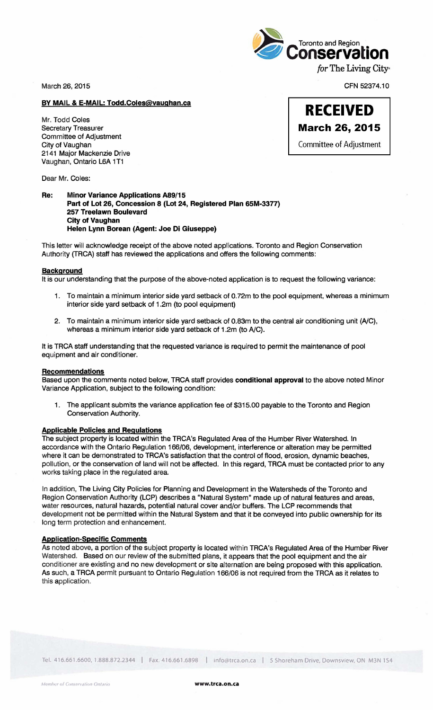

March 26, 2015

CFN 52374.10

# BY MAIL & E-MAIL: Todd.Coles@vaughan.ca

Mr. Todd Coles Secretary Treasurer Committee of Adjustment City of Vaughan 2141 Major Mackenzie Drive Vaughan, Ontario L6A 1T1

Dear Mr. Coles:

## Re: Minor Variance Applications A89/15 Part of Lot 26, Concession 8 (Lot 24, Registered Plan 65M-3377) 257 Treelawn Boulevard City of Vaughan Helen Lynn Borean (Agent: Joe Di Giuseppe)

This letter will acknowledge receipt of the above noted applications. Toronto and Region Conservation Authority (TRCA) staff has reviewed the applications and offers the following comments:

#### Background

It is our understanding that the purpose of the above-noted application is to request the following variance:

- 1. To maintain a minimum interior side yard setback of 0.72m to the pool equipment, whereas a minimum interior side yard setback of 1.2m (to pool equipment)
- 2. To maintain a minimum interior side yard setback of 0.83m to the central air conditioning unit (NC), whereas a minimum interior side yard setback of 1.2m (to *NC).*

It is TRCA staff understanding that the requested variance is required to permit the maintenance of pool equipment and air conditioner.

#### Recommendations

Based upon the comments noted below, TRCA staff provides conditional approval to the above noted Minor Variance Application, subject to the following condition:

1. The applicant submits the variance application fee of \$315.00 payable to the Toronto and Region Conservation Authority.

## Applicable Policies and Regulations

The subject property is located within the TRCA's Regulated Area of the Humber River Watershed. In accordance with the Ontario Regulation 166/06, development, interference or alteration may be permitted where it can be demonstrated to TRCA's satisfaction that the control of flood, erosion, dynamic beaches, pollution, or the conservation of land will not be affected. In this regard, TRCA must be contacted prior to any works taking place in the regulated area.

In addition, The Living City Policies for Planning and Development in the Watersheds of the Toronto and Region Conservation Authority (LCP) describes a "Natural System" made up of natural features and areas, water resources, natural hazards, potential natural cover and/or buffers. The LCP recommends that development not be permitted within the Natural System and that it be conveyed into public ownership for its long term protection and enhancement.

## Application-Specific Comments

As noted above, a portion of the subject property is located within TRCA's Regulated Area of the Humber River Watershed. Based on our review of the submitted plans, it appears that the pool equipment and the air conditioner are existing and no new development or site alternation are being proposed with this application. As such, a TRCA permit pursuant to Ontario Regulation 166/06 is not required from the TRCA as it relates to this application.